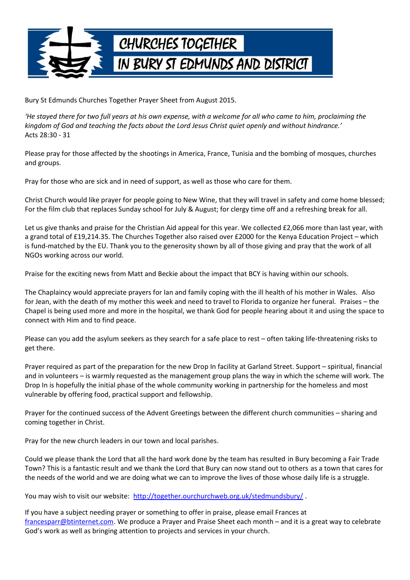

Bury St Edmunds Churches Together Prayer Sheet from August 2015.

*'He stayed there for two full years at his own expense, with a welcome for all who came to him, proclaiming the kingdom of God and teaching the facts about the Lord Jesus Christ quiet openly and without hindrance.'* Acts 28:30 - 31

Please pray for those affected by the shootings in America, France, Tunisia and the bombing of mosques, churches and groups.

Pray for those who are sick and in need of support, as well as those who care for them.

Christ Church would like prayer for people going to New Wine, that they will travel in safety and come home blessed; For the film club that replaces Sunday school for July & August; for clergy time off and a refreshing break for all.

Let us give thanks and praise for the Christian Aid appeal for this year. We collected £2,066 more than last year, with a grand total of £19,214.35. The Churches Together also raised over £2000 for the Kenya Education Project – which is fund-matched by the EU. Thank you to the generosity shown by all of those giving and pray that the work of all NGOs working across our world.

Praise for the exciting news from Matt and Beckie about the impact that BCY is having within our schools.

The Chaplaincy would appreciate prayers for Ian and family coping with the ill health of his mother in Wales. Also for Jean, with the death of my mother this week and need to travel to Florida to organize her funeral. Praises – the Chapel is being used more and more in the hospital, we thank God for people hearing about it and using the space to connect with Him and to find peace.

Please can you add the asylum seekers as they search for a safe place to rest – often taking life-threatening risks to get there.

Prayer required as part of the preparation for the new Drop In facility at Garland Street. Support – spiritual, financial and in volunteers – is warmly requested as the management group plans the way in which the scheme will work. The Drop In is hopefully the initial phase of the whole community working in partnership for the homeless and most vulnerable by offering food, practical support and fellowship.

Prayer for the continued success of the Advent Greetings between the different church communities – sharing and coming together in Christ.

Pray for the new church leaders in our town and local parishes.

Could we please thank the Lord that all the hard work done by the team has resulted in Bury becoming a Fair Trade Town? This is a fantastic result and we thank the Lord that Bury can now stand out to others as a town that cares for the needs of the world and we are doing what we can to improve the lives of those whose daily life is a struggle.

You may wish to visit our website: http://together.ourchurchweb.org.uk/stedmundsbury/.

If you have a subject needing prayer or something to offer in praise, please email Frances at [francesparr@btinternet.com.](mailto:francesparr@btinternet.com) We produce a Prayer and Praise Sheet each month – and it is a great way to celebrate God's work as well as bringing attention to projects and services in your church.